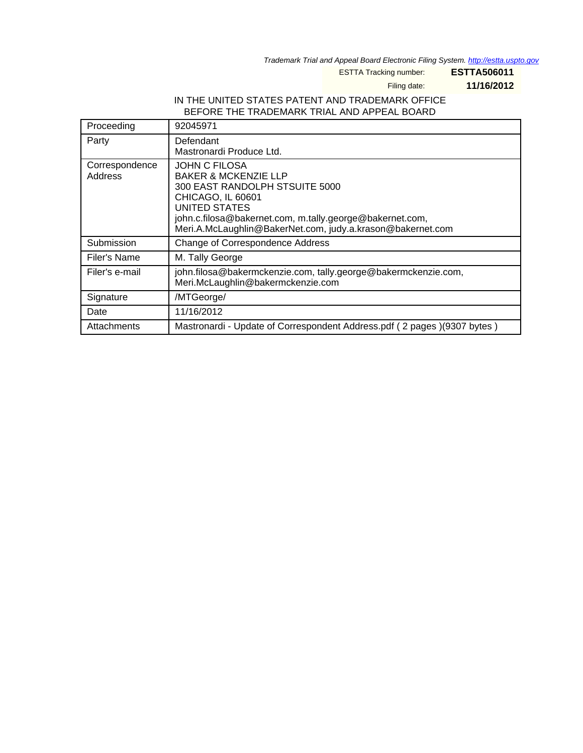Trademark Trial and Appeal Board Electronic Filing System. <http://estta.uspto.gov>

ESTTA Tracking number: **ESTTA506011**

Filing date: **11/16/2012**

## IN THE UNITED STATES PATENT AND TRADEMARK OFFICE BEFORE THE TRADEMARK TRIAL AND APPEAL BOARD

| Proceeding                | 92045971                                                                                                                                                                                                                                                  |
|---------------------------|-----------------------------------------------------------------------------------------------------------------------------------------------------------------------------------------------------------------------------------------------------------|
| Party                     | Defendant<br>Mastronardi Produce Ltd.                                                                                                                                                                                                                     |
| Correspondence<br>Address | <b>JOHN C FILOSA</b><br><b>BAKER &amp; MCKENZIE LLP</b><br>300 EAST RANDOLPH STSUITE 5000<br>CHICAGO, IL 60601<br>UNITED STATES<br>john.c.filosa@bakernet.com, m.tally.george@bakernet.com,<br>Meri.A.McLaughlin@BakerNet.com, judy.a.krason@bakernet.com |
| Submission                | Change of Correspondence Address                                                                                                                                                                                                                          |
| Filer's Name              | M. Tally George                                                                                                                                                                                                                                           |
| Filer's e-mail            | john.filosa@bakermckenzie.com, tally.george@bakermckenzie.com,<br>Meri.McLaughlin@bakermckenzie.com                                                                                                                                                       |
| Signature                 | /MTGeorge/                                                                                                                                                                                                                                                |
| Date                      | 11/16/2012                                                                                                                                                                                                                                                |
| Attachments               | Mastronardi - Update of Correspondent Address.pdf (2 pages )(9307 bytes )                                                                                                                                                                                 |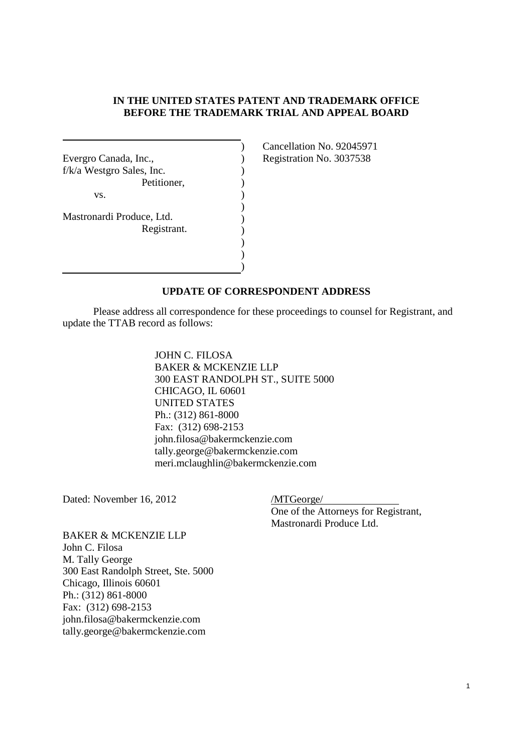## **IN THE UNITED STATES PATENT AND TRADEMARK OFFICE BEFORE THE TRADEMARK TRIAL AND APPEAL BOARD**

) ) ) ) ) ) ) ) ) ) )

| Evergro Canada, Inc.,<br>$f/k/a$ Westgro Sales, Inc. |
|------------------------------------------------------|
| Petitioner,                                          |
| VS.                                                  |
| Mastronardi Produce, Ltd.                            |
| Registrant.                                          |
|                                                      |
|                                                      |

Cancellation No. 92045971 Registration No. 3037538

## **UPDATE OF CORRESPONDENT ADDRESS**

Please address all correspondence for these proceedings to counsel for Registrant, and update the TTAB record as follows:

> JOHN C. FILOSA BAKER & MCKENZIE LLP 300 EAST RANDOLPH ST., SUITE 5000 CHICAGO, IL 60601 UNITED STATES Ph.: (312) 861-8000 Fax: (312) 698-2153 john.filosa@bakermckenzie.com tally.george@bakermckenzie.com meri.mclaughlin@bakermckenzie.com

Dated: November 16, 2012 /MTGeorge/

One of the Attorneys for Registrant, Mastronardi Produce Ltd.

BAKER & MCKENZIE LLP John C. Filosa M. Tally George 300 East Randolph Street, Ste. 5000 Chicago, Illinois 60601 Ph.: (312) 861-8000 Fax: (312) 698-2153 john.filosa@bakermckenzie.com tally.george@bakermckenzie.com